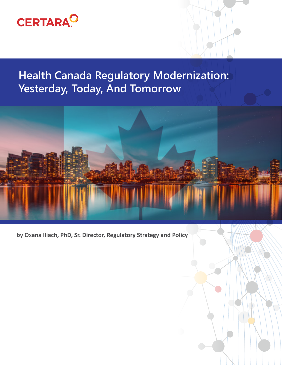

# **Health Canada Regulatory Modernization: Yesterday, Today, And Tomorrow**



**by Oxana Iliach, PhD, Sr. Director, Regulatory Strategy and Policy**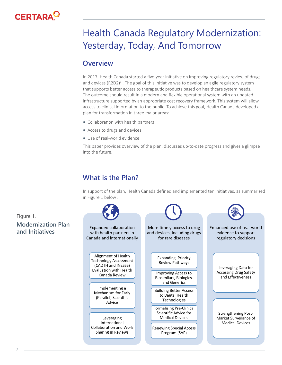

# Health Canada Regulatory Modernization: Yesterday, Today, And Tomorrow

#### **Overview**

In 2017, Health Canada started a five-year initiative on improving regulatory review of drugs and devices (R2D2)<sup>1</sup>. The goal of this initiative was to develop an agile regulatory system that supports better access to therapeutic products based on healthcare system needs. The outcome should result in a modern and flexible operational system with an updated infrastructure supported by an appropriate cost recovery framework. This system will allow access to clinical information to the public. To achieve this goal, Health Canada developed a plan for transformation in three major areas:

- Collaboration with health partners
- Access to drugs and devices
- Use of real-world evidence

This paper provides overview of the plan, discusses up-to-date progress and gives a glimpse into the future.

## **What is the Plan?**

In support of the plan, Health Canada defined and implemented ten initiatives, as summarized in Figure 1 below :



Figure 1. **Modernization Plan**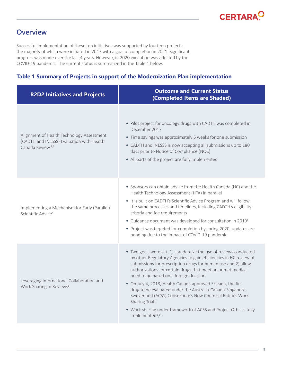## **Overview**

Successful implementation of these ten initiatives was supported by fourteen projects, the majority of which were initiated in 2017 with a goal of completion in 2021. Significant progress was made over the last 4 years. However, in 2020 execution was affected by the COVID-19 pandemic. The current status is summarized in the Table 1 below:

#### **Table 1 Summary of Projects in support of the Modernization Plan implementation**

| <b>R2D2 Initiatives and Projects</b>                                                                                   | <b>Outcome and Current Status</b><br>(Completed Items are Shaded)                                                                                                                                                                                                                                                                                                                                                                                                                                                                                                                                                                                 |  |  |
|------------------------------------------------------------------------------------------------------------------------|---------------------------------------------------------------------------------------------------------------------------------------------------------------------------------------------------------------------------------------------------------------------------------------------------------------------------------------------------------------------------------------------------------------------------------------------------------------------------------------------------------------------------------------------------------------------------------------------------------------------------------------------------|--|--|
| Alignment of Health Technology Assessment<br>(CADTH and INESSS) Evaluation with Health<br>Canada Review <sup>2,3</sup> | • Pilot project for oncology drugs with CADTH was completed in<br>December 2017<br>• Time savings was approximately 5 weeks for one submission<br>• CADTH and INESSS is now accepting all submissions up to 180<br>days prior to Notice of Compliance (NOC)<br>• All parts of the project are fully implemented                                                                                                                                                                                                                                                                                                                                   |  |  |
| Implementing a Mechanism for Early (Parallel)<br>Scientific Advice <sup>4</sup>                                        | • Sponsors can obtain advice from the Health Canada (HC) and the<br>Health Technology Assessment (HTA) in parallel<br>• It is built on CADTH's Scientific Advice Program and will follow<br>the same processes and timelines, including CADTH's eligibility<br>criteria and fee requirements<br>• Guidance document was developed for consultation in 2019 <sup>5</sup><br>• Project was targeted for completion by spring 2020, updates are<br>pending due to the impact of COVID-19 pandemic                                                                                                                                                    |  |  |
| Leveraging International Collaboration and<br>Work Sharing in Reviews <sup>6</sup>                                     | • Two goals were set: 1) standardize the use of reviews conducted<br>by other Regulatory Agencies to gain efficiencies in HC review of<br>submissions for prescription drugs for human use and 2) allow<br>authorizations for certain drugs that meet an unmet medical<br>need to be based on a foreign decision<br>• On July 4, 2018, Health Canada approved Erleada, the first<br>drug to be evaluated under the Australia-Canada-Singapore-<br>Switzerland (ACSS) Consortium's New Chemical Entities Work<br>Sharing Trial <sup>7</sup> .<br>• Work sharing under framework of ACSS and Project Orbis is fully<br>implemented <sup>8,9</sup> . |  |  |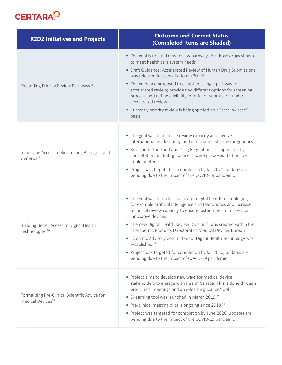

| <b>R2D2 Initiatives and Projects</b>                                            | <b>Outcome and Current Status</b><br>(Completed Items are Shaded)                                                                                                                                                                                                                                                                                                                                                                                                                                                                                                                                   |  |  |
|---------------------------------------------------------------------------------|-----------------------------------------------------------------------------------------------------------------------------------------------------------------------------------------------------------------------------------------------------------------------------------------------------------------------------------------------------------------------------------------------------------------------------------------------------------------------------------------------------------------------------------------------------------------------------------------------------|--|--|
| Expanding Priority Review Pathways <sup>10</sup>                                | • The goal is to build new review pathways for those drugs shown<br>to meet health care system needs<br>• Draft Guidance: Accelerated Review of Human Drug Submissions<br>was released for consultation in 2019 <sup>11</sup><br>• The guidance proposed to establish a single pathway for<br>accelerated review; provide two different options for screening<br>process, and define eligibility criteria for submission under<br>accelerated review<br>• Currently priority review is being applied on a "case-by-case"<br>basis                                                                   |  |  |
| Improving Access to Biosimilars, Biologics, and<br>Generics <sup>12, 13</sup>   | • The goal was to increase review capacity and involve<br>international work-sharing and information sharing for generics<br>• Revision to the Food and Drug Regulations <sup>14</sup> , supported by<br>consultation on draft guidance, <sup>15</sup> were proposed, but not yet<br>implemented<br>• Project was targeted for completion by fall 2020, updates are<br>pending due to the impact of the COVID-19 pandemic                                                                                                                                                                           |  |  |
| Building Better Access to Digital Health<br>Technologies <sup>16</sup>          | • The goal was to build capacity for digital health technologies,<br>for example artificial intelligence and telerobotics and increase<br>technical review capacity to ensure faster times to market for<br>innovative devices<br>• The new Digital Health Review Division <sup>17</sup> was created within the<br>Therapeutic Products Directorate's Medical Devices Bureau<br>• Scientific Advisory Committee for Digital Health Technology was<br>established <sup>18</sup><br>• Project was targeted for completion by fall 2020, updates are<br>pending due to the impact of COVID-19 pandemic |  |  |
| Formalising Pre-Clinical Scientific Advice for<br>Medical Devices <sup>19</sup> | • Project aims to develop new ways for medical device<br>stakeholders to engage with Health Canada. This is done through<br>pre-clinical meetings and an e-learning course/tool<br>• E-learning tool was launched in March 2019 <sup>20</sup><br>• Pre-clinical meeting pilot is ongoing since 2018 <sup>21</sup><br>• Project was targeted for completion by June 2020, updates are<br>pending due to the impact of the COVID-19 pandemic                                                                                                                                                          |  |  |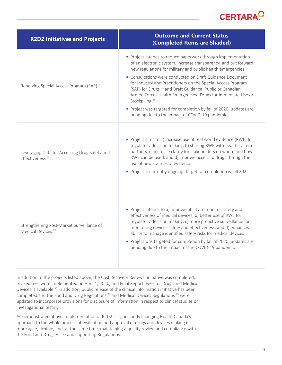

| <b>R2D2 Initiatives and Projects</b>                                         | <b>Outcome and Current Status</b><br>(Completed Items are Shaded)                                                                                                                                                                                                                                                                                                                                                                                                                                                                                                                                                      |  |  |
|------------------------------------------------------------------------------|------------------------------------------------------------------------------------------------------------------------------------------------------------------------------------------------------------------------------------------------------------------------------------------------------------------------------------------------------------------------------------------------------------------------------------------------------------------------------------------------------------------------------------------------------------------------------------------------------------------------|--|--|
| Renewing Special Access Program (SAP) <sup>22</sup>                          | • Project intends to reduce paperwork through implementation<br>of an electronic system, increase transparency, and put forward<br>new regulations for military and public health emergencies<br>• Consultations were conducted on Draft Guidance Document<br>for Industry and Practitioners on the Special Access Program<br>(SAP) for Drugs <sup>23</sup> and Draft Guidance: Public or Canadian<br>Armed Forces Health Emergencies- Drugs for Immediate Use or<br>Stockpiling <sup>24</sup><br>• Project was targeted for completion by fall of 2020, updates are<br>pending due to the impact of COVID-19 pandemic |  |  |
| Leveraging Data for Accessing Drug Safety and<br>Effectiveness <sup>25</sup> | • Project aims to a) increase use of real world evidence (RWE) for<br>regulatory decision making, b) sharing RWE with health system<br>partners, c) increase clarity for stakeholders on where and how<br>RWE can be used, and d) improve access to drugs through the<br>use of new sources of evidence<br>• Project is currently ongoing, target for completion is fall 2022                                                                                                                                                                                                                                          |  |  |
| Strengthening Post-Market Surveillance of<br>Medical Devices <sup>26</sup>   | • Project intends to a) improve ability to monitor safety and<br>effectiveness of medical devices, b) better use of RWE for<br>regulatory decision making, c) more proactive surveillance for<br>monitoring devices safety and effectiveness, and d) enhances<br>ability to manage identified safety risks for medical devices<br>• Project was targeted for completion by fall of 2020, updates are<br>pending due to the impact of the COVID-19 pandemic                                                                                                                                                             |  |  |

In addition to the projects listed above, the Cost Recovery Renewal initiative was completed, revised fees were implemented on April 1, 2020, and Final Report: Fees for Drugs and Medical Devices is available.<sup>27</sup> In addition, public release of the clinical information initiative has been completed and the Food and Drug Regulations<sup>28</sup> and Medical Devices Regulations<sup>29</sup> were updated to incorporate provisions for disclosure of information in respect to clinical studies or investigational testing.

As demonstrated above, implementation of R2D2 is significantly changing Health Canada's approach to the whole process of evaluation and approval of drugs and devices making it more agile, flexible, and, at the same time, maintaining a quality review and compliance with the Food and Drugs Act<sup>30</sup> and supporting Regulations.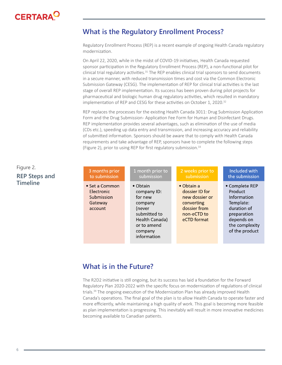

### **What is the Regulatory Enrollment Process?**

Regulatory Enrollment Process (REP) is a recent example of ongoing Health Canada regulatory modernization.

On April 22, 2020, while in the midst of COVID-19 initiatives, Health Canada requested sponsor participation in the Regulatory Enrollment Process (REP), a non-functional pilot for clinical trial regulatory activities. $31$  The REP enables clinical trial sponsors to send documents in a secure manner, with reduced transmission times and cost via the Common Electronic Submission Gateway (CESG). The implementation of REP for clinical trial activities is the last stage of overall REP implementation. Its success has been proven during pilot projects for pharmaceutical and biologic human drug regulatory activities, which resulted in mandatory implementation of REP and CESG for these activities on October 1, 2020.<sup>32</sup>

REP replaces the processes for the existing Health Canada 3011: Drug Submission Application Form and the Drug Submission - Application Fee Form for Human and Disinfectant Drugs. REP implementation provides several advantages, such as elimination of the use of media (CDs etc.), speeding up data entry and transmission, and increasing accuracy and reliability of submitted information. Sponsors should be aware that to comply with Health Canada requirements and take advantage of REP, sponsors have to complete the following steps (Figure 2), prior to using REP for first regulatory submission.<sup>33</sup>

| s and | 3 months prior                                                   | 1 month prior to                                                                                                                           | 2 weeks prior to                                                                                                   | Included with                                                                                                                         |
|-------|------------------------------------------------------------------|--------------------------------------------------------------------------------------------------------------------------------------------|--------------------------------------------------------------------------------------------------------------------|---------------------------------------------------------------------------------------------------------------------------------------|
|       | to submission                                                    | submission                                                                                                                                 | submission                                                                                                         | the submission                                                                                                                        |
|       | • Set a Common<br>Electronic<br>Submission<br>Gateway<br>account | $\bullet$ Obtain<br>company ID:<br>for new<br>company<br>(never<br>submitted to<br>Health Canada)<br>or to amend<br>company<br>information | $\bullet$ Obtain a<br>dossier ID for<br>new dossier or<br>converting<br>dossier from<br>non-eCTD to<br>eCTD format | • Complete REP<br>Product<br>Information<br>Template:<br>duration of<br>preparation<br>depends on<br>the complexity<br>of the product |

#### **What is in the Future?**

The R2D2 initiative is still ongoing, but its success has laid a foundation for the Forward Regulatory Plan 2020-2022 with the specific focus on modernization of regulations of clinical trials.34 The ongoing execution of the Modernization Plan has already improved Health Canada's operations. The final goal of the plan is to allow Health Canada to operate faster and more efficiently, while maintaining a high quality of work. This goal is becoming more feasible as plan implementation is progressing. This inevitably will result in more innovative medicines becoming available to Canadian patients.

#### Figure 2.

#### **REP Steps Timeline**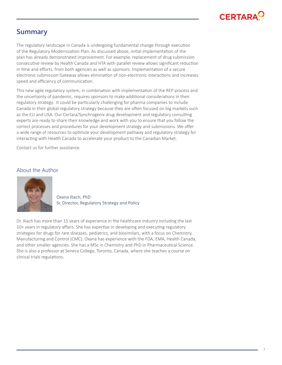

## **Summary**

The regulatory landscape in Canada is undergoing fundamental change through execution of the Regulatory Modernization Plan. As discussed above, initial implementation of the plan has already demonstrated improvement. For example, replacement of drug submission consecutive review by Health Canada and HTA with parallel review allows significant reduction in time and efforts, from both agencies as well as sponsors. Implementation of a secure electronic submission Gateway allows elimination of non-electronic interactions and increases speed and efficiency of communication.

This new agile regulatory system, in combination with implementation of the REP process and the uncertainty of pandemic, requires sponsors to make additional considerations in their regulatory strategy. It could be particularly challenging for pharma companies to include Canada in their global regulatory strategy because they are often focused on big markets such as the EU and USA. Our Certara/Synchrogenix drug development and regulatory consulting experts are ready to share their knowledge and work with you to ensure that you follow the correct processes and procedures for your development strategy and submissions. We offer a wide range of resources to optimize your development pathway and regulatory strategy for interacting with Health Canada to accelerate your product to the Canadian Market.

Contact us for further assistance.

#### About the Author



Oxana Iliach, PhD Sr. Director, Regulatory Strategy and Policy

Dr. Iliach has more than 15 years of experience in the healthcare industry including the last 10+ years in regulatory affairs. She has expertise in developing and executing regulatory strategies for drugs for rare diseases, pediatrics, and biosimilars, with a focus on Chemistry, Manufacturing and Control (CMC). Oxana has experience with the FDA, EMA, Health Canada, and other smaller agencies. She has a MSc in Chemistry and PhD in Pharmaceutical Science. She is also a professor at Seneca College, Toronto, Canada, where she teaches a course on clinical trials regulations.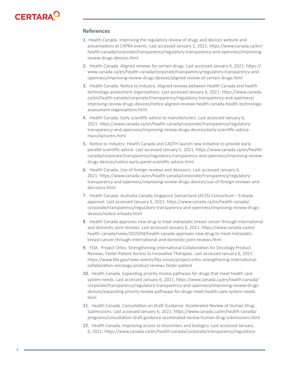

#### **References**

- 1. Health Canada. Improving the regulatory review of drugs and devices website and presentations at CAPRA events. Last accessed January 5, 2021: https://www.canada.ca/en/ health-canada/corporate/transparency/regulatory-transparency-and-openness/improvingreview-drugs-devices.html
- 2. Health Canada. Aligned reviews for certain drugs. Last accessed January 6, 2021: https:// www.canada.ca/en/health-canada/corporate/transparency/regulatory-transparency-andopenness/improving-review-drugs-devices/aligned-review-of-certain-drugs.html
- 3. Health Canada. Notice to industry: Aligned reviews between Health Canada and health technology assessment organizations. Last accessed January 6, 2021: https://www.canada. ca/en/health-canada/corporate/transparency/regulatory-transparency-and-openness/ improving-review-drugs-devices/notice-aligned-reviews-health-canada-health-technologyassessment-organizations.html
- 4. Health Canada. Early scientific advice to manufacturers. Last accessed January 6, 2021: https://www.canada.ca/en/health-canada/corporate/transparency/regulatorytransparency-and-openness/improving-review-drugs-devices/early-scientific-advicemanufacturers.html
- 5. Notice to Industry: Health Canada and CADTH launch new initiative to provide early parallel scientific advice. Last accessed January 5, 2021: https://www.canada.ca/en/healthcanada/corporate/transparency/regulatory-transparency-and-openness/improving-reviewdrugs-devices/notice-early-panel-scientific-advice.html
- 6. Health Canada. Use of foreign reviews and decisions. Last accessed January 6, 2021: https://www.canada.ca/en/health-canada/corporate/transparency/regulatorytransparency-and-openness/improving-review-drugs-devices/use-of-foreign-reviews-anddecisions.html
- 7. Health Canada. Australia Canada Singapore Switzerland (ACSS) Consortium Erleada approval. Last accessed January 6, 2021: https://www.canada.ca/en/health-canada/ corporate/transparency/regulatory-transparency-and-openness/improving-review-drugsdevices/notice-erleada.html
- 8. Health Canada approves new drug to treat metastatic breast cancer through international and domestic joint reviews. Last accessed January 6, 2021: https://www.canada.ca/en/ health-canada/news/2019/04/health-canada-approves-new-drug-to-treat-metastaticbreast-cancer-through-international-and-domestic-joint-reviews.html
- 9. FDA. Project Orbis: Strengthening International Collaboration for Oncology Product Reviews, Faster Patient Access to Innovative Therapies. Last accessed January 6, 2021: https://www.fda.gov/news-events/fda-voices/project-orbis-strengthening-internationalcollaboration-oncology-product-reviews-faster-patient
- 10. Health Canada. Expanding priority review pathways for drugs that meet health care system needs. Last accessed January 6, 2021: https://www.canada.ca/en/health-canada/ corporate/transparency/regulatory-transparency-and-openness/improving-review-drugsdevices/expanding-priority-review-pathways-for-drugs-meet-health-care-system-needs. html
- 11. Health Canada. Consultation on Draft Guidance: Accelerated Review of Human Drug Submissions. Last accessed January 6, 2021: https://www.canada.ca/en/health-canada/ programs/consultation-draft-guidance-accelerated-review-human-drug-submissions.html
- 12. Health Canada. Improving access to biosimilars and biologics. Last accessed January 6, 2021: https://www.canada.ca/en/health-canada/corporate/transparency/regulatory-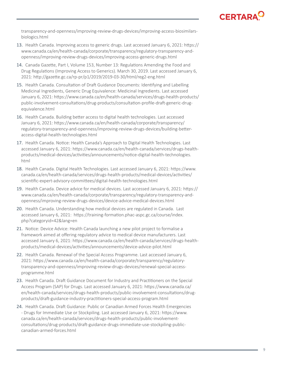## **CERTARA<sup>C</sup>**

transparency-and-openness/improving-review-drugs-devices/improving-access-biosimilarsbiologics.html

- 13. Health Canada. Improving access to generic drugs. Last accessed January 6, 2021: https:// www.canada.ca/en/health-canada/corporate/transparency/regulatory-transparency-andopenness/improving-review-drugs-devices/improving-access-generic-drugs.html
- 14. Canada Gazette, Part I, Volume 153, Number 13: Regulations Amending the Food and Drug Regulations (Improving Access to Generics). March 30, 2019. Last accessed January 6, 2021: http://gazette.gc.ca/rp-pr/p1/2019/2019-03-30/html/reg2-eng.html
- 15. Health Canada. Consultation of Draft Guidance Documents: Identifying and Labelling Medicinal Ingredients, Generic Drug Equivalence: Medicinal Ingredients. Last accessed January 6, 2021: https://www.canada.ca/en/health-canada/services/drugs-health-products/ public-involvement-consultations/drug-products/consultation-profile-draft-generic-drugequivalence.html
- 16. Health Canada. Building better access to digital health technologies. Last accessed January 6, 2021: https://www.canada.ca/en/health-canada/corporate/transparency/ regulatory-transparency-and-openness/improving-review-drugs-devices/building-betteraccess-digital-health-technologies.html
- 17. Health Canada. Notice: Health Canada's Approach to Digital Health Technologies. Last accessed January 6, 2021: https://www.canada.ca/en/health-canada/services/drugs-healthproducts/medical-devices/activities/announcements/notice-digital-health-technologies. html
- 18. Health Canada. Digital Health Technologies. Last accessed January 6, 2021: https://www. canada.ca/en/health-canada/services/drugs-health-products/medical-devices/activities/ scientific-expert-advisory-committees/digital-health-technologies.html
- 19. Health Canada. Device advice for medical devices. Last accessed January 6, 2021: https:// www.canada.ca/en/health-canada/corporate/transparency/regulatory-transparency-andopenness/improving-review-drugs-devices/device-advice-medical-devices.html
- 20. Health Canada. Understanding how medical devices are regulated in Canada. Last accessed January 6, 2021: https://training-formation.phac-aspc.gc.ca/course/index. php?categoryid=42&lang=en
- 21. Notice: Device Advice: Health Canada launching a new pilot project to formalise a framework aimed at offering regulatory advice to medical device manufacturers. Last accessed January 6, 2021: https://www.canada.ca/en/health-canada/services/drugs-healthproducts/medical-devices/activities/announcements/device-advice-pilot.html
- 22. Health Canada. Renewal of the Special Access Programme. Last accessed January 6, 2021: https://www.canada.ca/en/health-canada/corporate/transparency/regulatorytransparency-and-openness/improving-review-drugs-devices/renewal-special-accessprogramme.html
- 23. Health Canada. Draft Guidance Document for Industry and Practitioners on the Special Access Program (SAP) for Drugs. Last accessed January 6, 2021: https://www.canada.ca/ en/health-canada/services/drugs-health-products/public-involvement-consultations/drugproducts/draft-guidance-industry-practitioners-special-access-program.html
- 24. Health Canada. Draft Guidance: Public or Canadian Armed Forces Health Emergencies - Drugs for Immediate Use or Stockpiling. Last accessed January 6, 2021: https://www. canada.ca/en/health-canada/services/drugs-health-products/public-involvementconsultations/drug-products/draft-guidance-drugs-immediate-use-stockpiling-publiccanadian-armed-forces.html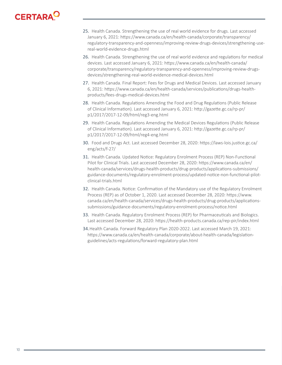# **CERTARA**

- 25. Health Canada. Strengthening the use of real world evidence for drugs. Last accessed January 6, 2021: https://www.canada.ca/en/health-canada/corporate/transparency/ regulatory-transparency-and-openness/improving-review-drugs-devices/strengthening-usereal-world-evidence-drugs.html
- 26. Health Canada. Strengthening the use of real world evidence and regulations for medical devices. Last accessed January 6, 2021: https://www.canada.ca/en/health-canada/ corporate/transparency/regulatory-transparency-and-openness/improving-review-drugsdevices/strengthening-real-world-evidence-medical-devices.html
- 27. Health Canada. Final Report: Fees for Drugs and Medical Devices. Last accessed January 6, 2021: https://www.canada.ca/en/health-canada/services/publications/drugs-healthproducts/fees-drugs-medical-devices.html
- 28. Health Canada. Regulations Amending the Food and Drug Regulations (Public Release of Clinical Information). Last accessed January 6, 2021: http://gazette.gc.ca/rp-pr/ p1/2017/2017-12-09/html/reg3-eng.html
- 29. Health Canada. Regulations Amending the Medical Devices Regulations (Public Release of Clinical Information). Last accessed January 6, 2021: http://gazette.gc.ca/rp-pr/ p1/2017/2017-12-09/html/reg4-eng.html
- 30. Food and Drugs Act. Last accessed December 28, 2020: https://laws-lois.justice.gc.ca/ eng/acts/f-27/
- 31. Health Canada. Updated Notice: Regulatory Enrolment Process (REP) Non-Functional Pilot for Clinical Trials. Last accessed December 28, 2020: https://www.canada.ca/en/ health-canada/services/drugs-health-products/drug-products/applications-submissions/ guidance-documents/regulatory-enrolment-process/updated-notice-non-functional-pilotclinical-trials.html
- 32. Health Canada. Notice: Confirmation of the Mandatory use of the Regulatory Enrolment Process (REP) as of October 1, 2020. Last accessed December 28, 2020: https://www. canada.ca/en/health-canada/services/drugs-health-products/drug-products/applicationssubmissions/guidance-documents/regulatory-enrolment-process/notice.html
- 33. Health Canada. Regulatory Enrolment Process (REP) for Pharmaceuticals and Biologics. Last accessed December 28, 2020: https://health-products.canada.ca/rep-pir/index.html
- 34.Health Canada. Forward Regulatory Plan 2020-2022. Last accessed March 19, 2021: https://www.canada.ca/en/health-canada/corporate/about-health-canada/legislationguidelines/acts-regulations/forward-regulatory-plan.html